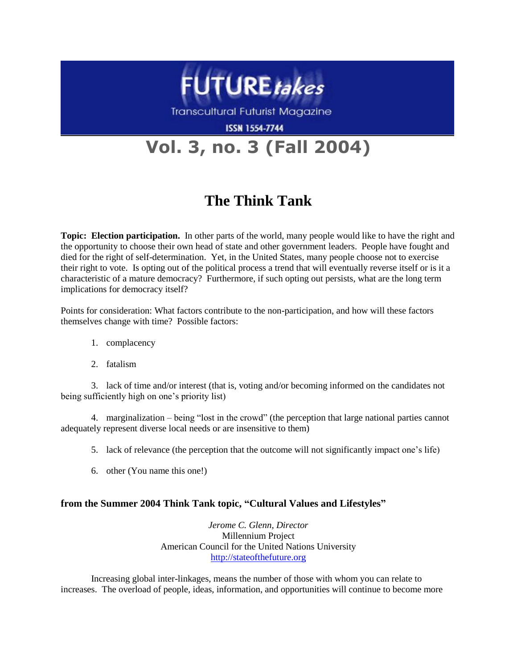

**Transcultural Futurist Magazine** 

**ISSN 1554-7744** 

## **Vol. 3, no. 3 (Fall 2004)**

## **The Think Tank**

**Topic: Election participation.** In other parts of the world, many people would like to have the right and the opportunity to choose their own head of state and other government leaders. People have fought and died for the right of self-determination. Yet, in the United States, many people choose not to exercise their right to vote. Is opting out of the political process a trend that will eventually reverse itself or is it a characteristic of a mature democracy? Furthermore, if such opting out persists, what are the long term implications for democracy itself?

Points for consideration: What factors contribute to the non-participation, and how will these factors themselves change with time? Possible factors:

- 1. complacency
- 2. fatalism

3. lack of time and/or interest (that is, voting and/or becoming informed on the candidates not being sufficiently high on one's priority list)

4. marginalization – being "lost in the crowd" (the perception that large national parties cannot adequately represent diverse local needs or are insensitive to them)

- 5. lack of relevance (the perception that the outcome will not significantly impact one's life)
- 6. other (You name this one!)

## **from the Summer 2004 Think Tank topic, "Cultural Values and Lifestyles"**

*Jerome C. Glenn, Director* Millennium Project American Council for the United Nations University [http://stateofthefuture.org](http://stateofthefuture.org/)

Increasing global inter-linkages, means the number of those with whom you can relate to increases. The overload of people, ideas, information, and opportunities will continue to become more